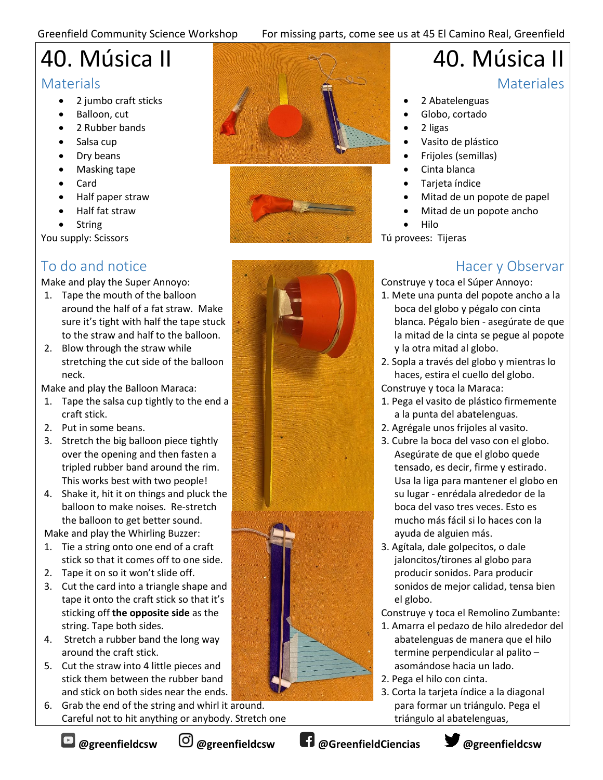#### Greenfield Community Science Workshop For missing parts, come see us at 45 El Camino Real, Greenfield

# 40. Música II

#### **Materials**

- 2 jumbo craft sticks
- Balloon, cut
- 2 Rubber bands
- Salsa cup
- Dry beans
- Masking tape
- Card
- Half paper straw
- Half fat straw
- **String**

You supply: Scissors

## To do and notice

Make and play the Super Annoyo:

- 1. Tape the mouth of the balloon around the half of a fat straw. Make sure it's tight with half the tape stuck to the straw and half to the balloon.
- 2. Blow through the straw while stretching the cut side of the balloon neck.

Make and play the Balloon Maraca:

- 1. Tape the salsa cup tightly to the end a craft stick.
- 2. Put in some beans.
- 3. Stretch the big balloon piece tightly over the opening and then fasten a tripled rubber band around the rim. This works best with two people!
- 4. Shake it, hit it on things and pluck the balloon to make noises. Re-stretch the balloon to get better sound.

Make and play the Whirling Buzzer:

- 1. Tie a string onto one end of a craft stick so that it comes off to one side.
- 2. Tape it on so it won't slide off.
- 3. Cut the card into a triangle shape and tape it onto the craft stick so that it's sticking off **the opposite side** as the string. Tape both sides.
- 4. Stretch a rubber band the long way around the craft stick.
- 5. Cut the straw into 4 little pieces and stick them between the rubber band and stick on both sides near the ends.

6. Grab the end of the string and whirl it around. Careful not to hit anything or anybody. Stretch one





## 40. Música II

#### **Materiales**

- 2 Abatelenguas
- Globo, cortado
- 2 ligas
- Vasito de plástico
- Frijoles (semillas)
- Cinta blanca
- Tarjeta índice
- Mitad de un popote de papel
- Mitad de un popote ancho
- Hilo

Tú provees: Tijeras

### Hacer y Observar

Construye y toca el Súper Annoyo:

- 1. Mete una punta del popote ancho a la boca del globo y pégalo con cinta blanca. Pégalo bien - asegúrate de que la mitad de la cinta se pegue al popote y la otra mitad al globo.
- 2. Sopla a través del globo y mientras lo haces, estira el cuello del globo.
- Construye y toca la Maraca:
- 1. Pega el vasito de plástico firmemente a la punta del abatelenguas.
- 2. Agrégale unos frijoles al vasito.
- 3. Cubre la boca del vaso con el globo. Asegúrate de que el globo quede tensado, es decir, firme y estirado. Usa la liga para mantener el globo en su lugar - enrédala alrededor de la boca del vaso tres veces. Esto es mucho más fácil si lo haces con la ayuda de alguien más.
- 3. Agítala, dale golpecitos, o dale jaloncitos/tirones al globo para producir sonidos. Para producir sonidos de mejor calidad, tensa bien el globo.

Construye y toca el Remolino Zumbante:

- 1. Amarra el pedazo de hilo alrededor del abatelenguas de manera que el hilo termine perpendicular al palito – asomándose hacia un lado.
- 2. Pega el hilo con cinta.
- 3. Corta la tarjeta índice a la diagonal para formar un triángulo. Pega el triángulo al abatelenguas,